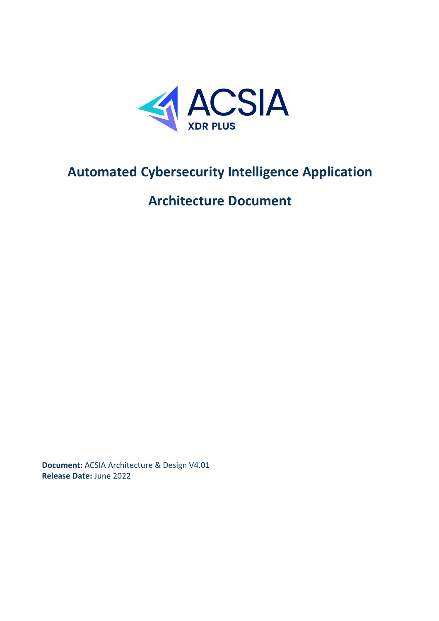

# **Automated Cybersecurity Intelligence Application**

# **Architecture Document**

**Document:** ACSIA Architecture & Design V4.01 **Release Date:** June 2022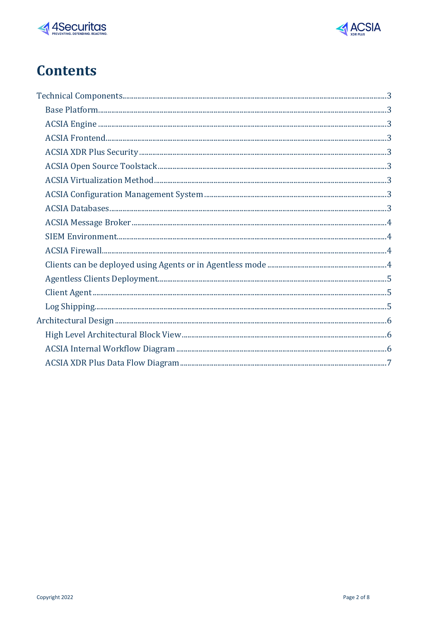



# **Contents**

| $\begin{minipage}{0.9\linewidth} \textbf{Face} \textbf{Pattern} \textbf{Parameter} \textbf{Parameter} \textbf{Parameter} \textbf{Parameter} \textbf{Parameter} \textbf{Parameter} \textbf{Parameter} \textbf{Parameter} \textbf{Parameter} \textbf{Parameter} \textbf{Parameter} \textbf{Parameter} \textbf{Parameter} \textbf{Parameter} \textbf{Parameter} \textbf{Parameter} \textbf{Parameter} \textbf{Parameter} \textbf{Parameter} \textbf{Parameter} \textbf{Parameter} \textbf{Parameter} \textbf{Parameter} \textbf{Parameter} \textbf{Parameter} \textbf{Parameter} \textbf{Parameter} \textbf{Parameter} \textbf{Parameter} \textbf{Parameter} \textbf{Parameter} \textbf{Parameter} \textbf$ |
|----------------------------------------------------------------------------------------------------------------------------------------------------------------------------------------------------------------------------------------------------------------------------------------------------------------------------------------------------------------------------------------------------------------------------------------------------------------------------------------------------------------------------------------------------------------------------------------------------------------------------------------------------------------------------------------------------------|
|                                                                                                                                                                                                                                                                                                                                                                                                                                                                                                                                                                                                                                                                                                          |
|                                                                                                                                                                                                                                                                                                                                                                                                                                                                                                                                                                                                                                                                                                          |
|                                                                                                                                                                                                                                                                                                                                                                                                                                                                                                                                                                                                                                                                                                          |
|                                                                                                                                                                                                                                                                                                                                                                                                                                                                                                                                                                                                                                                                                                          |
|                                                                                                                                                                                                                                                                                                                                                                                                                                                                                                                                                                                                                                                                                                          |
|                                                                                                                                                                                                                                                                                                                                                                                                                                                                                                                                                                                                                                                                                                          |
|                                                                                                                                                                                                                                                                                                                                                                                                                                                                                                                                                                                                                                                                                                          |
|                                                                                                                                                                                                                                                                                                                                                                                                                                                                                                                                                                                                                                                                                                          |
|                                                                                                                                                                                                                                                                                                                                                                                                                                                                                                                                                                                                                                                                                                          |
|                                                                                                                                                                                                                                                                                                                                                                                                                                                                                                                                                                                                                                                                                                          |
|                                                                                                                                                                                                                                                                                                                                                                                                                                                                                                                                                                                                                                                                                                          |
|                                                                                                                                                                                                                                                                                                                                                                                                                                                                                                                                                                                                                                                                                                          |
|                                                                                                                                                                                                                                                                                                                                                                                                                                                                                                                                                                                                                                                                                                          |
|                                                                                                                                                                                                                                                                                                                                                                                                                                                                                                                                                                                                                                                                                                          |
|                                                                                                                                                                                                                                                                                                                                                                                                                                                                                                                                                                                                                                                                                                          |
|                                                                                                                                                                                                                                                                                                                                                                                                                                                                                                                                                                                                                                                                                                          |
|                                                                                                                                                                                                                                                                                                                                                                                                                                                                                                                                                                                                                                                                                                          |
|                                                                                                                                                                                                                                                                                                                                                                                                                                                                                                                                                                                                                                                                                                          |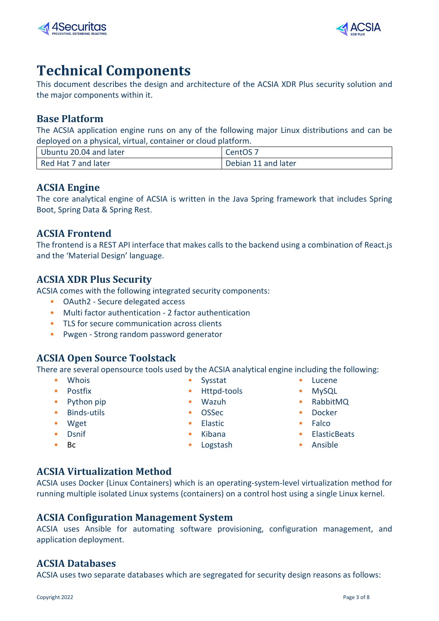



# <span id="page-2-0"></span>**Technical Components**

This document describes the design and architecture of the ACSIA XDR Plus security solution and the major components within it.

#### <span id="page-2-1"></span>**Base Platform**

The ACSIA application engine runs on any of the following major Linux distributions and can be deployed on a physical, virtual, container or cloud platform.

| Ubuntu 20.04 and later | CentOS <sub>7</sub> |
|------------------------|---------------------|
| Red Hat 7 and later    | Debian 11 and later |

#### <span id="page-2-2"></span>**ACSIA Engine**

The core analytical engine of ACSIA is written in the Java Spring framework that includes Spring Boot, Spring Data & Spring Rest.

#### <span id="page-2-3"></span>**ACSIA Frontend**

The frontend is a REST API interface that makes calls to the backend using a combination of React.js and the 'Material Design' language.

### <span id="page-2-4"></span>**ACSIA XDR Plus Security**

ACSIA comes with the following integrated security components:

- OAuth2 Secure delegated access
- Multi factor authentication 2 factor authentication
- TLS for secure communication across clients
- Pwgen Strong random password generator

### <span id="page-2-5"></span>**ACSIA Open Source Toolstack**

There are several opensource tools used by the ACSIA analytical engine including the following:

- 
- 
- Python pip Wazuh Wazuh RabbitMQ
- Binds-utils OSSec Docker
- 
- 
- 
- Whois Sysstat Sysstat Lucene
- Postfix Httpd-tools MySQL
	-
	-
	-
	-
- Bc Logstash Logstash Ansible
	-
- <span id="page-2-6"></span>**ACSIA Virtualization Method** ACSIA uses Docker (Linux Containers) which is an operating-system-level virtualization method for running multiple isolated Linux systems (containers) on a control host using a single Linux kernel.

#### <span id="page-2-7"></span>**ACSIA Configuration Management System**

ACSIA uses Ansible for automating software provisioning, configuration management, and application deployment.

#### <span id="page-2-8"></span>**ACSIA Databases**

ACSIA uses two separate databases which are segregated for security design reasons as follows:

- Wget Elastic Falco • Dsnif • Kibana • Kibana • ElasticBeats
	-
- 
- 
- 
- 
-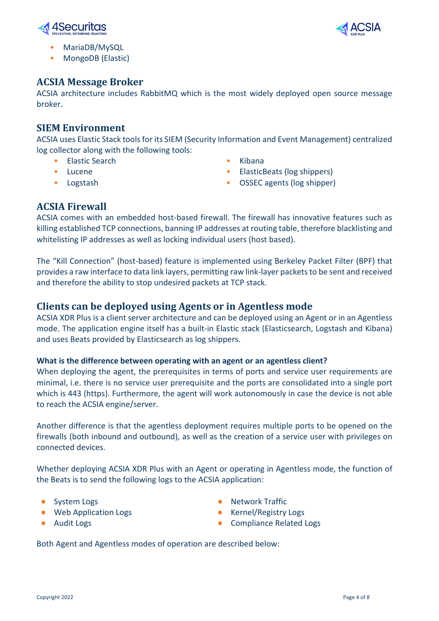



- MariaDB/MySQL
- MongoDB (Elastic)

### <span id="page-3-0"></span>**ACSIA Message Broker**

ACSIA architecture includes RabbitMQ which is the most widely deployed open source message broker.

#### <span id="page-3-1"></span>**SIEM Environment**

ACSIA uses Elastic Stack tools for its SIEM (Security Information and Event Management) centralized log collector along with the following tools:

- **Elastic Search Kibana**
- 
- 
- 
- Lucene ElasticBeats (log shippers)
- Logstash OSSEC agents (log shipper)

### <span id="page-3-2"></span>**ACSIA Firewall**

ACSIA comes with an embedded host-based firewall. The firewall has innovative features such as killing established TCP connections, banning IP addresses at routing table, therefore blacklisting and whitelisting IP addresses as well as locking individual users (host based).

The "Kill Connection" (host-based) feature is implemented using Berkeley Packet Filter (BPF) that provides a raw interface to data link layers, permitting raw link-layer packets to be sent and received and therefore the ability to stop undesired packets at TCP stack.

### <span id="page-3-3"></span>**Clients can be deployed using Agents or in Agentless mode**

ACSIA XDR Plus is a client server architecture and can be deployed using an Agent or in an Agentless mode. The application engine itself has a built-in Elastic stack (Elasticsearch, Logstash and Kibana) and uses Beats provided by Elasticsearch as log shippers.

#### **What is the difference between operating with an agent or an agentless client?**

When deploying the agent, the prerequisites in terms of ports and service user requirements are minimal, i.e. there is no service user prerequisite and the ports are consolidated into a single port which is 443 (https). Furthermore, the agent will work autonomously in case the device is not able to reach the ACSIA engine/server.

Another difference is that the agentless deployment requires multiple ports to be opened on the firewalls (both inbound and outbound), as well as the creation of a service user with privileges on connected devices.

Whether deploying ACSIA XDR Plus with an Agent or operating in Agentless mode, the function of the Beats is to send the following logs to the ACSIA application:

- 
- Web Application Logs **●** Kernel/Registry Logs
- 
- System Logs **●** Network Traffic
	-
- Audit Logs **●** Compliance Related Logs

Both Agent and Agentless modes of operation are described below: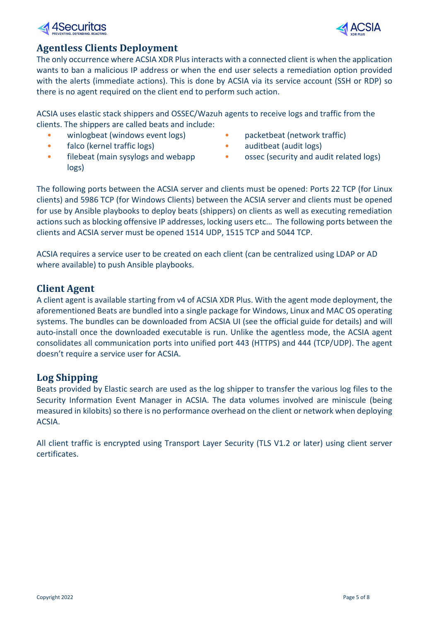# 4Securitas

## <span id="page-4-0"></span>**Agentless Clients Deployment**

The only occurrence where ACSIA XDR Plus interacts with a connected client is when the application wants to ban a malicious IP address or when the end user selects a remediation option provided with the alerts (immediate actions). This is done by ACSIA via its service account (SSH or RDP) so there is no agent required on the client end to perform such action.

ACSIA uses elastic stack shippers and OSSEC/Wazuh agents to receive logs and traffic from the clients. The shippers are called beats and include:

- winlogbeat (windows event logs) packetbeat (network traffic)
- falco (kernel traffic logs) auditbeat (audit logs)
- filebeat (main sysylogs and webapp logs)
- 
- 
- ossec (security and audit related logs)

The following ports between the ACSIA server and clients must be opened: Ports 22 TCP (for Linux clients) and 5986 TCP (for Windows Clients) between the ACSIA server and clients must be opened for use by Ansible playbooks to deploy beats (shippers) on clients as well as executing remediation actions such as blocking offensive IP addresses, locking users etc… The following ports between the clients and ACSIA server must be opened 1514 UDP, 1515 TCP and 5044 TCP.

ACSIA requires a service user to be created on each client (can be centralized using LDAP or AD where available) to push Ansible playbooks.

## <span id="page-4-1"></span>**Client Agent**

A client agent is available starting from v4 of ACSIA XDR Plus. With the agent mode deployment, the aforementioned Beats are bundled into a single package for Windows, Linux and MAC OS operating systems. The bundles can be downloaded from ACSIA UI (see the official guide for details) and will auto-install once the downloaded executable is run. Unlike the agentless mode, the ACSIA agent consolidates all communication ports into unified port 443 (HTTPS) and 444 (TCP/UDP). The agent doesn't require a service user for ACSIA.

# <span id="page-4-2"></span>**Log Shipping**

Beats provided by Elastic search are used as the log shipper to transfer the various log files to the Security Information Event Manager in ACSIA. The data volumes involved are miniscule (being measured in kilobits) so there is no performance overhead on the client or network when deploying ACSIA.

All client traffic is encrypted using Transport Layer Security (TLS V1.2 or later) using client server certificates.

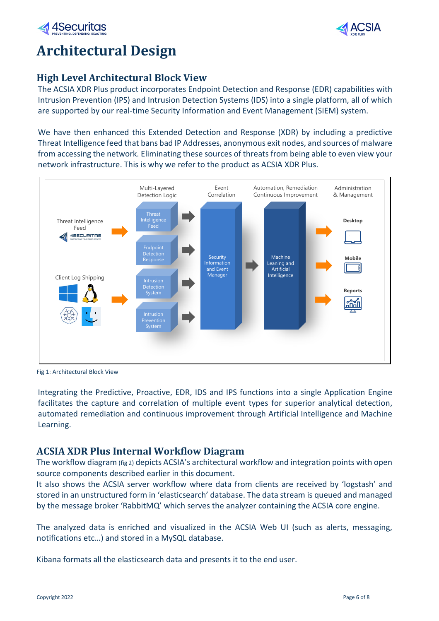



# <span id="page-5-0"></span>**Architectural Design**

## <span id="page-5-1"></span>**High Level Architectural Block View**

The ACSIA XDR Plus product incorporates Endpoint Detection and Response (EDR) capabilities with Intrusion Prevention (IPS) and Intrusion Detection Systems (IDS) into a single platform, all of which are supported by our real-time Security Information and Event Management (SIEM) system.

We have then enhanced this Extended Detection and Response (XDR) by including a predictive Threat Intelligence feed that bans bad IP Addresses, anonymous exit nodes, and sources of malware from accessing the network. Eliminating these sources of threats from being able to even view your network infrastructure. This is why we refer to the product as ACSIA XDR Plus.



Fig 1: Architectural Block View

Integrating the Predictive, Proactive, EDR, IDS and IPS functions into a single Application Engine facilitates the capture and correlation of multiple event types for superior analytical detection, automated remediation and continuous improvement through Artificial Intelligence and Machine Learning.

### <span id="page-5-2"></span>**ACSIA XDR Plus Internal Workflow Diagram**

The workflow diagram (fig 2) depicts ACSIA's architectural workflow and integration points with open source components described earlier in this document.

It also shows the ACSIA server workflow where data from clients are received by 'logstash' and stored in an unstructured form in 'elasticsearch' database. The data stream is queued and managed by the message broker 'RabbitMQ' which serves the analyzer containing the ACSIA core engine.

The analyzed data is enriched and visualized in the ACSIA Web UI (such as alerts, messaging, notifications etc…) and stored in a MySQL database.

Kibana formats all the elasticsearch data and presents it to the end user.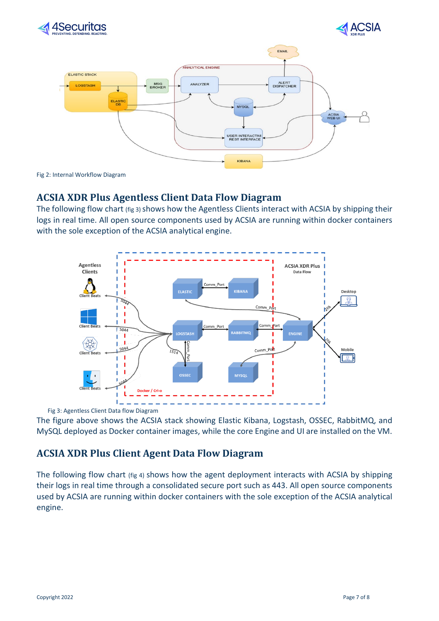





Fig 2: Internal Workflow Diagram

## <span id="page-6-0"></span>**ACSIA XDR Plus Agentless Client Data Flow Diagram**

The following flow chart (fig 3) shows how the Agentless Clients interact with ACSIA by shipping their logs in real time. All open source components used by ACSIA are running within docker containers with the sole exception of the ACSIA analytical engine.



Fig 3: Agentless Client Data flow Diagram

The figure above shows the ACSIA stack showing Elastic Kibana, Logstash, OSSEC, RabbitMQ, and MySQL deployed as Docker container images, while the core Engine and UI are installed on the VM.

## **ACSIA XDR Plus Client Agent Data Flow Diagram**

The following flow chart (fig 4) shows how the agent deployment interacts with ACSIA by shipping their logs in real time through a consolidated secure port such as 443. All open source components used by ACSIA are running within docker containers with the sole exception of the ACSIA analytical engine.